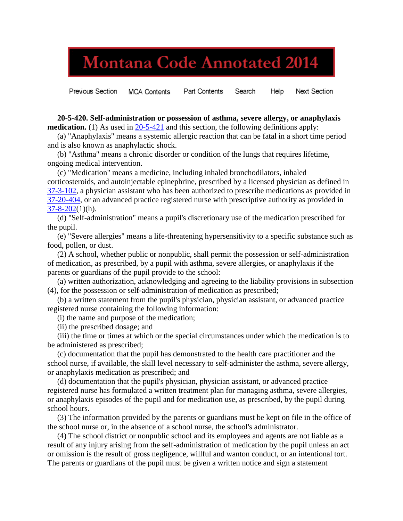## **Montana Code Annotated 2014**

**Previous Section** Part Contents Search Help **Next Section MCA Contents** 

 **20-5-420. Self-administration or possession of asthma, severe allergy, or anaphylaxis medication.** (1) As used in [20-5-421](http://leg.mt.gov/bills/mca/20/5/20-5-421.htm) and this section, the following definitions apply:

 (a) "Anaphylaxis" means a systemic allergic reaction that can be fatal in a short time period and is also known as anaphylactic shock.

 (b) "Asthma" means a chronic disorder or condition of the lungs that requires lifetime, ongoing medical intervention.

 (c) "Medication" means a medicine, including inhaled bronchodilators, inhaled corticosteroids, and autoinjectable epinephrine, prescribed by a licensed physician as defined in [37-3-102,](http://leg.mt.gov/bills/mca/37/3/37-3-102.htm) a physician assistant who has been authorized to prescribe medications as provided in [37-20-404,](http://leg.mt.gov/bills/mca/37/20/37-20-404.htm) or an advanced practice registered nurse with prescriptive authority as provided in  $37 - 8 - 202(1)(h)$ .

 (d) "Self-administration" means a pupil's discretionary use of the medication prescribed for the pupil.

 (e) "Severe allergies" means a life-threatening hypersensitivity to a specific substance such as food, pollen, or dust.

 (2) A school, whether public or nonpublic, shall permit the possession or self-administration of medication, as prescribed, by a pupil with asthma, severe allergies, or anaphylaxis if the parents or guardians of the pupil provide to the school:

 (a) written authorization, acknowledging and agreeing to the liability provisions in subsection (4), for the possession or self-administration of medication as prescribed;

 (b) a written statement from the pupil's physician, physician assistant, or advanced practice registered nurse containing the following information:

(i) the name and purpose of the medication;

(ii) the prescribed dosage; and

 (iii) the time or times at which or the special circumstances under which the medication is to be administered as prescribed;

 (c) documentation that the pupil has demonstrated to the health care practitioner and the school nurse, if available, the skill level necessary to self-administer the asthma, severe allergy, or anaphylaxis medication as prescribed; and

 (d) documentation that the pupil's physician, physician assistant, or advanced practice registered nurse has formulated a written treatment plan for managing asthma, severe allergies, or anaphylaxis episodes of the pupil and for medication use, as prescribed, by the pupil during school hours.

 (3) The information provided by the parents or guardians must be kept on file in the office of the school nurse or, in the absence of a school nurse, the school's administrator.

 (4) The school district or nonpublic school and its employees and agents are not liable as a result of any injury arising from the self-administration of medication by the pupil unless an act or omission is the result of gross negligence, willful and wanton conduct, or an intentional tort. The parents or guardians of the pupil must be given a written notice and sign a statement